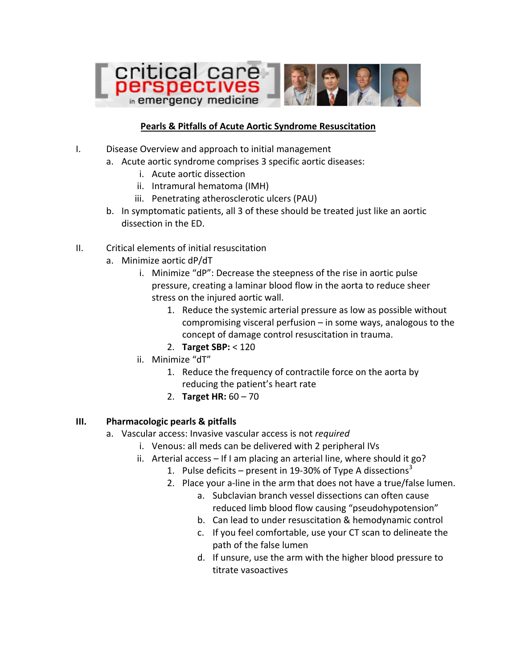

### **Pearls & Pitfalls of Acute Aortic Syndrome Resuscitation**

- I. Disease Overview and approach to initial management
	- a. Acute aortic syndrome comprises 3 specific aortic diseases:
		- i. Acute aortic dissection
		- ii. Intramural hematoma (IMH)
		- iii. Penetrating atherosclerotic ulcers (PAU)
	- b. In symptomatic patients, all 3 of these should be treated just like an aortic dissection in the ED.
- II. Critical elements of initial resuscitation
	- a. Minimize aortic dP/dT
		- i. Minimize "dP": Decrease the steepness of the rise in aortic pulse pressure, creating a laminar blood flow in the aorta to reduce sheer stress on the injured aortic wall.
			- 1. Reduce the systemic arterial pressure as low as possible without compromising visceral perfusion – in some ways, analogous to the concept of damage control resuscitation in trauma.
			- 2. **Target SBP:** < 120
		- ii. Minimize "dT"
			- 1. Reduce the frequency of contractile force on the aorta by reducing the patient's heart rate
			- 2. **Target HR:**  $60 70$

#### **III. Pharmacologic pearls & pitfalls**

- a. Vascular access: Invasive vascular access is not *required* 
	- i. Venous: all meds can be delivered with 2 peripheral IVs
	- ii. Arterial access  $-$  If I am placing an arterial line, where should it go?
		- 1. Pulse deficits present in 19-30% of Type A dissections<sup>3</sup>
		- 2. Place your a-line in the arm that does not have a true/false lumen.
			- a. Subclavian branch vessel dissections can often cause reduced limb blood flow causing "pseudohypotension"
			- b. Can lead to under resuscitation & hemodynamic control
			- c. If you feel comfortable, use your CT scan to delineate the path of the false lumen
			- d. If unsure, use the arm with the higher blood pressure to titrate vasoactives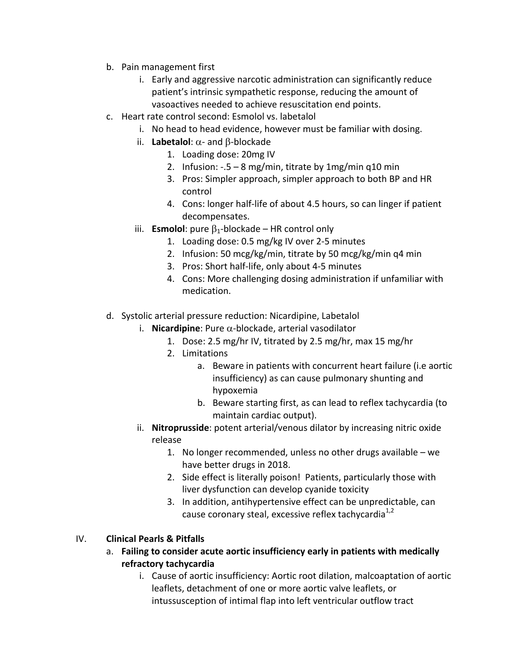- b. Pain management first
	- i. Early and aggressive narcotic administration can significantly reduce patient's intrinsic sympathetic response, reducing the amount of vasoactives needed to achieve resuscitation end points.
- c. Heart rate control second: Esmolol vs. labetalol
	- i. No head to head evidence, however must be familiar with dosing.
	- ii. **Labetalol**:  $\alpha$  and  $\beta$ -blockade
		- 1. Loading dose: 20mg IV
		- 2. Infusion:  $-5 8$  mg/min, titrate by  $1$ mg/min q10 min
		- 3. Pros: Simpler approach, simpler approach to both BP and HR control
		- 4. Cons: longer half-life of about 4.5 hours, so can linger if patient decompensates.
	- iii. **Esmolol**: pure  $\beta_1$ -blockade HR control only
		- 1. Loading dose: 0.5 mg/kg IV over 2-5 minutes
		- 2. Infusion: 50 mcg/kg/min, titrate by 50 mcg/kg/min q4 min
		- 3. Pros: Short half-life, only about 4-5 minutes
		- 4. Cons: More challenging dosing administration if unfamiliar with medication.
- d. Systolic arterial pressure reduction: Nicardipine, Labetalol
	- i. **Nicardipine**: Pure  $\alpha$ -blockade, arterial vasodilator
		- 1. Dose: 2.5 mg/hr IV, titrated by 2.5 mg/hr, max 15 mg/hr
		- 2. Limitations
			- a. Beware in patients with concurrent heart failure (i.e aortic insufficiency) as can cause pulmonary shunting and hypoxemia
			- b. Beware starting first, as can lead to reflex tachycardia (to maintain cardiac output).
	- ii. **Nitroprusside**: potent arterial/venous dilator by increasing nitric oxide release
		- 1. No longer recommended, unless no other drugs available we have better drugs in 2018.
		- 2. Side effect is literally poison! Patients, particularly those with liver dysfunction can develop cyanide toxicity
		- 3. In addition, antihypertensive effect can be unpredictable, can cause coronary steal, excessive reflex tachycardia<sup>1,2</sup>

# IV. **Clinical Pearls & Pitfalls**

- a. Failing to consider acute aortic insufficiency early in patients with medically **refractory tachycardia**
	- i. Cause of aortic insufficiency: Aortic root dilation, malcoaptation of aortic leaflets, detachment of one or more aortic valve leaflets, or intussusception of intimal flap into left ventricular outflow tract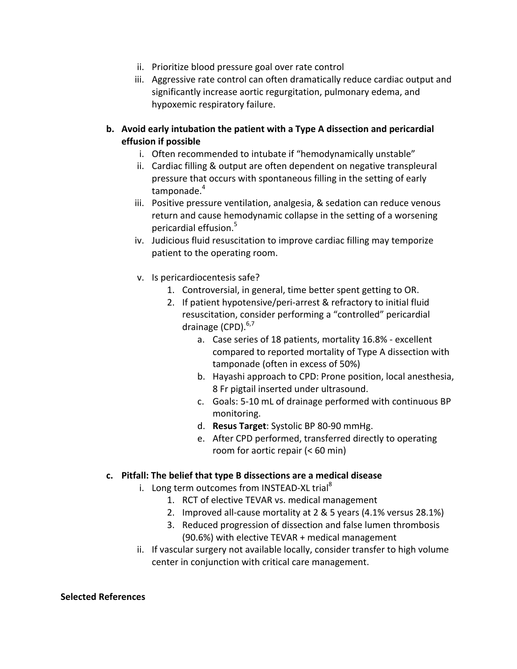- ii. Prioritize blood pressure goal over rate control
- iii. Aggressive rate control can often dramatically reduce cardiac output and significantly increase aortic regurgitation, pulmonary edema, and hypoxemic respiratory failure.

## **b.** Avoid early intubation the patient with a Type A dissection and pericardial **effusion** if possible

- i. Often recommended to intubate if "hemodynamically unstable"
- ii. Cardiac filling & output are often dependent on negative transpleural pressure that occurs with spontaneous filling in the setting of early tamponade.<sup>4</sup>
- iii. Positive pressure ventilation, analgesia, & sedation can reduce venous return and cause hemodynamic collapse in the setting of a worsening pericardial effusion.<sup>5</sup>
- iv. Judicious fluid resuscitation to improve cardiac filling may temporize patient to the operating room.
- v. Is pericardiocentesis safe?
	- 1. Controversial, in general, time better spent getting to OR.
	- 2. If patient hypotensive/peri-arrest & refractory to initial fluid resuscitation, consider performing a "controlled" pericardial drainage (CPD).<sup>6,7</sup>
		- a. Case series of 18 patients, mortality 16.8% excellent compared to reported mortality of Type A dissection with tamponade (often in excess of 50%)
		- b. Hayashi approach to CPD: Prone position, local anesthesia, 8 Fr pigtail inserted under ultrasound.
		- c. Goals: 5-10 mL of drainage performed with continuous BP monitoring.
		- d. **Resus Target:** Systolic BP 80-90 mmHg.
		- e. After CPD performed, transferred directly to operating room for aortic repair  $( $60 \text{ min}$ )$

## **c. Pitfall: The belief that type B dissections are a medical disease**

- i. Long term outcomes from INSTEAD-XL trial<sup>8</sup>
	- 1. RCT of elective TEVAR vs. medical management
	- 2. Improved all-cause mortality at  $2 \& 5$  years  $(4.1\%$  versus  $28.1\%)$
	- 3. Reduced progression of dissection and false lumen thrombosis (90.6%) with elective TEVAR + medical management
- ii. If vascular surgery not available locally, consider transfer to high volume center in conjunction with critical care management.

#### **Selected References**